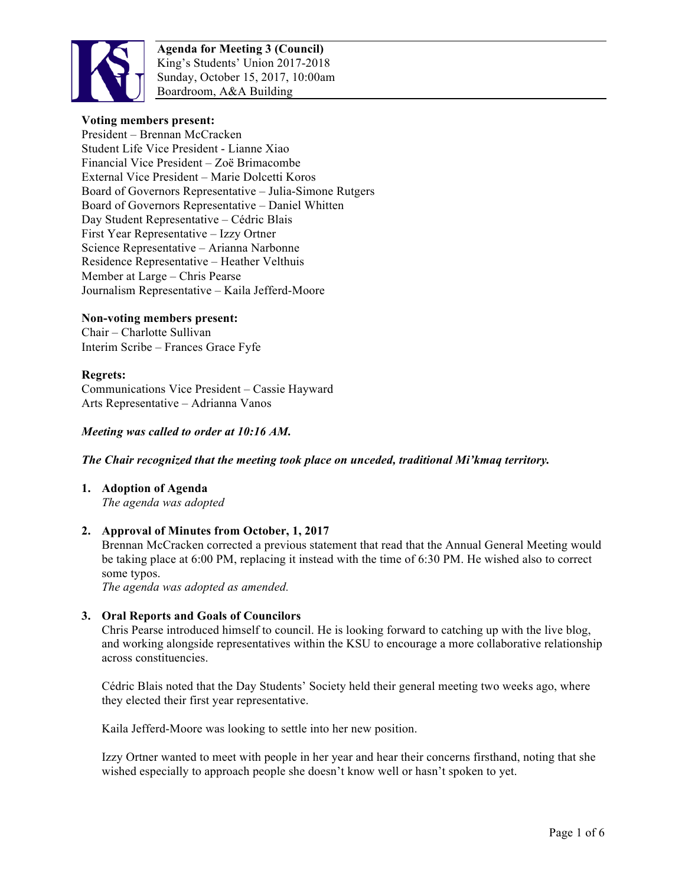

**Agenda for Meeting 3 (Council)** King's Students' Union 2017-2018 Sunday, October 15, 2017, 10:00am Boardroom, A&A Building

### **Voting members present:**

President – Brennan McCracken Student Life Vice President - Lianne Xiao Financial Vice President – Zoë Brimacombe External Vice President – Marie Dolcetti Koros Board of Governors Representative – Julia-Simone Rutgers Board of Governors Representative – Daniel Whitten Day Student Representative – Cédric Blais First Year Representative – Izzy Ortner Science Representative – Arianna Narbonne Residence Representative – Heather Velthuis Member at Large – Chris Pearse Journalism Representative – Kaila Jefferd-Moore

#### **Non-voting members present:**

Chair – Charlotte Sullivan Interim Scribe – Frances Grace Fyfe

#### **Regrets:**

Communications Vice President – Cassie Hayward Arts Representative – Adrianna Vanos

#### *Meeting was called to order at 10:16 AM.*

#### *The Chair recognized that the meeting took place on unceded, traditional Mi'kmaq territory.*

**1. Adoption of Agenda** *The agenda was adopted*

#### **2. Approval of Minutes from October, 1, 2017**

Brennan McCracken corrected a previous statement that read that the Annual General Meeting would be taking place at 6:00 PM, replacing it instead with the time of 6:30 PM. He wished also to correct some typos.

*The agenda was adopted as amended.*

#### **3. Oral Reports and Goals of Councilors**

Chris Pearse introduced himself to council. He is looking forward to catching up with the live blog, and working alongside representatives within the KSU to encourage a more collaborative relationship across constituencies.

Cédric Blais noted that the Day Students' Society held their general meeting two weeks ago, where they elected their first year representative.

Kaila Jefferd-Moore was looking to settle into her new position.

Izzy Ortner wanted to meet with people in her year and hear their concerns firsthand, noting that she wished especially to approach people she doesn't know well or hasn't spoken to yet.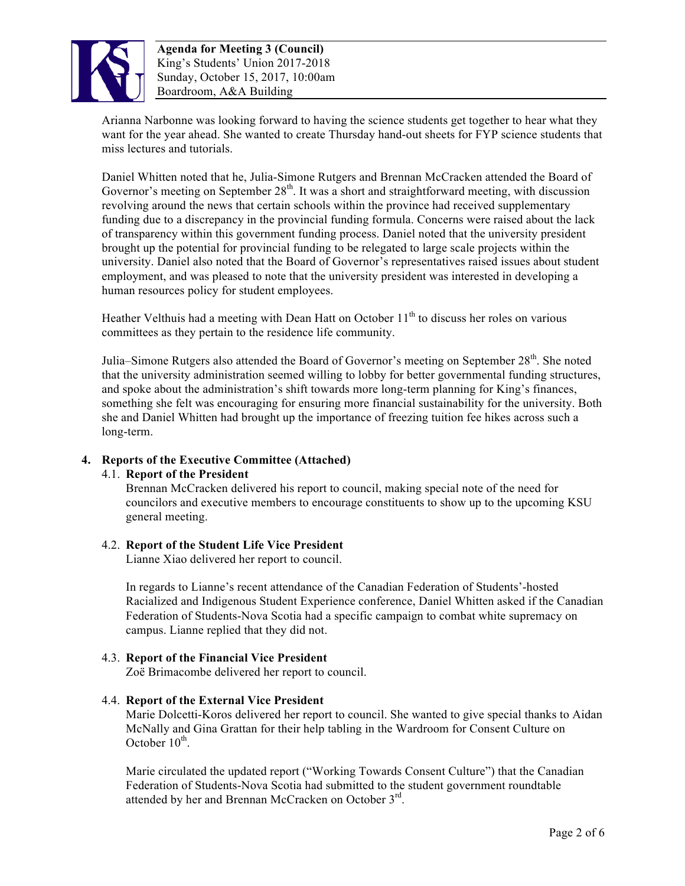

**Agenda for Meeting 3 (Council)** King's Students' Union 2017-2018 Sunday, October 15, 2017, 10:00am Boardroom, A&A Building

Arianna Narbonne was looking forward to having the science students get together to hear what they want for the year ahead. She wanted to create Thursday hand-out sheets for FYP science students that miss lectures and tutorials.

Daniel Whitten noted that he, Julia-Simone Rutgers and Brennan McCracken attended the Board of Governor's meeting on September  $28<sup>th</sup>$ . It was a short and straightforward meeting, with discussion revolving around the news that certain schools within the province had received supplementary funding due to a discrepancy in the provincial funding formula. Concerns were raised about the lack of transparency within this government funding process. Daniel noted that the university president brought up the potential for provincial funding to be relegated to large scale projects within the university. Daniel also noted that the Board of Governor's representatives raised issues about student employment, and was pleased to note that the university president was interested in developing a human resources policy for student employees.

Heather Velthuis had a meeting with Dean Hatt on October  $11<sup>th</sup>$  to discuss her roles on various committees as they pertain to the residence life community.

Julia–Simone Rutgers also attended the Board of Governor's meeting on September 28<sup>th</sup>. She noted that the university administration seemed willing to lobby for better governmental funding structures, and spoke about the administration's shift towards more long-term planning for King's finances, something she felt was encouraging for ensuring more financial sustainability for the university. Both she and Daniel Whitten had brought up the importance of freezing tuition fee hikes across such a long-term.

### **4. Reports of the Executive Committee (Attached)**

### 4.1. **Report of the President**

Brennan McCracken delivered his report to council, making special note of the need for councilors and executive members to encourage constituents to show up to the upcoming KSU general meeting.

### 4.2. **Report of the Student Life Vice President**

Lianne Xiao delivered her report to council.

In regards to Lianne's recent attendance of the Canadian Federation of Students'-hosted Racialized and Indigenous Student Experience conference, Daniel Whitten asked if the Canadian Federation of Students-Nova Scotia had a specific campaign to combat white supremacy on campus. Lianne replied that they did not.

## 4.3. **Report of the Financial Vice President**

Zoë Brimacombe delivered her report to council.

### 4.4. **Report of the External Vice President**

Marie Dolcetti-Koros delivered her report to council. She wanted to give special thanks to Aidan McNally and Gina Grattan for their help tabling in the Wardroom for Consent Culture on October  $10^{th}$ .

Marie circulated the updated report ("Working Towards Consent Culture") that the Canadian Federation of Students-Nova Scotia had submitted to the student government roundtable attended by her and Brennan McCracken on October 3<sup>rd</sup>.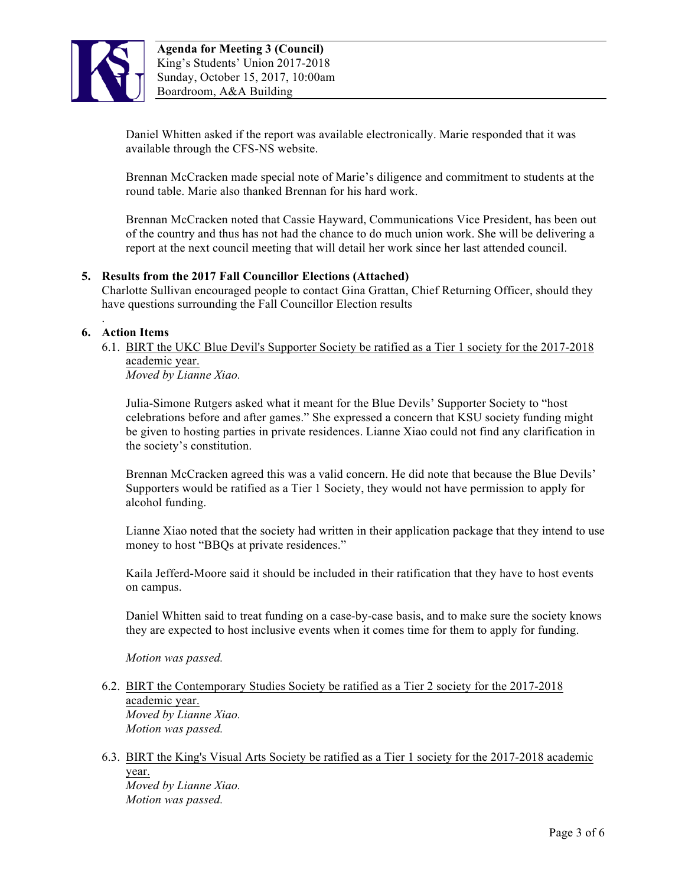

Daniel Whitten asked if the report was available electronically. Marie responded that it was available through the CFS-NS website.

Brennan McCracken made special note of Marie's diligence and commitment to students at the round table. Marie also thanked Brennan for his hard work.

Brennan McCracken noted that Cassie Hayward, Communications Vice President, has been out of the country and thus has not had the chance to do much union work. She will be delivering a report at the next council meeting that will detail her work since her last attended council.

### **5. Results from the 2017 Fall Councillor Elections (Attached)**

Charlotte Sullivan encouraged people to contact Gina Grattan, Chief Returning Officer, should they have questions surrounding the Fall Councillor Election results

### **6. Action Items**

.

6.1. BIRT the UKC Blue Devil's Supporter Society be ratified as a Tier 1 society for the 2017-2018 academic year.

*Moved by Lianne Xiao.*

Julia-Simone Rutgers asked what it meant for the Blue Devils' Supporter Society to "host celebrations before and after games." She expressed a concern that KSU society funding might be given to hosting parties in private residences. Lianne Xiao could not find any clarification in the society's constitution.

Brennan McCracken agreed this was a valid concern. He did note that because the Blue Devils' Supporters would be ratified as a Tier 1 Society, they would not have permission to apply for alcohol funding.

Lianne Xiao noted that the society had written in their application package that they intend to use money to host "BBQs at private residences."

Kaila Jefferd-Moore said it should be included in their ratification that they have to host events on campus.

Daniel Whitten said to treat funding on a case-by-case basis, and to make sure the society knows they are expected to host inclusive events when it comes time for them to apply for funding.

*Motion was passed.*

- 6.2. BIRT the Contemporary Studies Society be ratified as a Tier 2 society for the 2017-2018 academic year. *Moved by Lianne Xiao. Motion was passed.*
- 6.3. BIRT the King's Visual Arts Society be ratified as a Tier 1 society for the 2017-2018 academic year. *Moved by Lianne Xiao. Motion was passed.*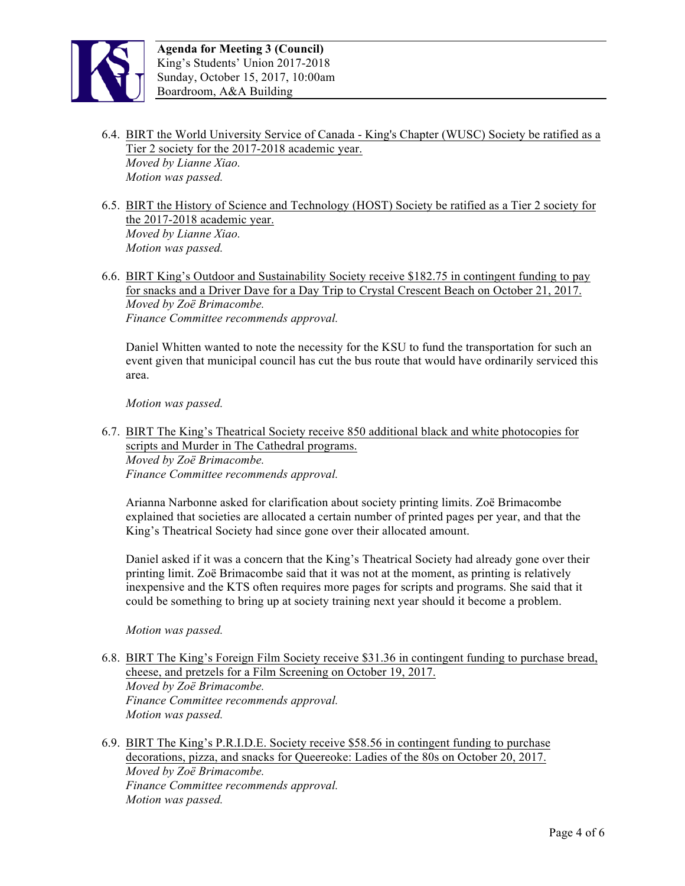

- 6.4. BIRT the World University Service of Canada King's Chapter (WUSC) Society be ratified as a Tier 2 society for the 2017-2018 academic year. *Moved by Lianne Xiao. Motion was passed.*
- 6.5. BIRT the History of Science and Technology (HOST) Society be ratified as a Tier 2 society for the 2017-2018 academic year. *Moved by Lianne Xiao. Motion was passed.*
- 6.6. BIRT King's Outdoor and Sustainability Society receive \$182.75 in contingent funding to pay for snacks and a Driver Dave for a Day Trip to Crystal Crescent Beach on October 21, 2017. *Moved by Zoë Brimacombe. Finance Committee recommends approval.*

Daniel Whitten wanted to note the necessity for the KSU to fund the transportation for such an event given that municipal council has cut the bus route that would have ordinarily serviced this area.

*Motion was passed.*

6.7. BIRT The King's Theatrical Society receive 850 additional black and white photocopies for scripts and Murder in The Cathedral programs.

*Moved by Zoë Brimacombe. Finance Committee recommends approval.*

Arianna Narbonne asked for clarification about society printing limits. Zoë Brimacombe explained that societies are allocated a certain number of printed pages per year, and that the King's Theatrical Society had since gone over their allocated amount.

Daniel asked if it was a concern that the King's Theatrical Society had already gone over their printing limit. Zoë Brimacombe said that it was not at the moment, as printing is relatively inexpensive and the KTS often requires more pages for scripts and programs. She said that it could be something to bring up at society training next year should it become a problem.

*Motion was passed.*

- 6.8. BIRT The King's Foreign Film Society receive \$31.36 in contingent funding to purchase bread, cheese, and pretzels for a Film Screening on October 19, 2017. *Moved by Zoë Brimacombe. Finance Committee recommends approval. Motion was passed.*
- 6.9. BIRT The King's P.R.I.D.E. Society receive \$58.56 in contingent funding to purchase decorations, pizza, and snacks for Queereoke: Ladies of the 80s on October 20, 2017. *Moved by Zoë Brimacombe. Finance Committee recommends approval. Motion was passed.*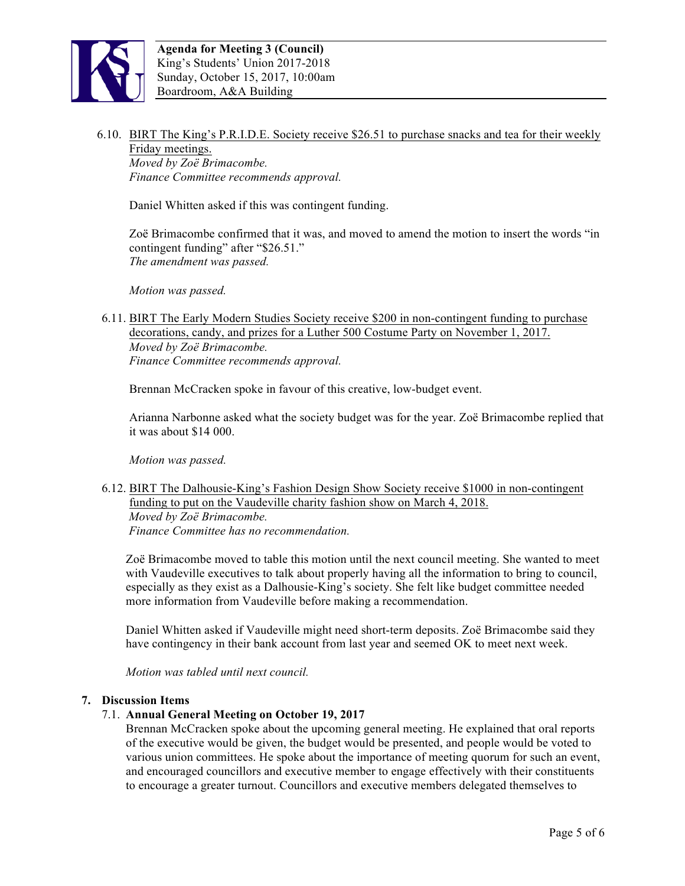

6.10. BIRT The King's P.R.I.D.E. Society receive \$26.51 to purchase snacks and tea for their weekly Friday meetings.

*Moved by Zoë Brimacombe. Finance Committee recommends approval.*

Daniel Whitten asked if this was contingent funding.

Zoë Brimacombe confirmed that it was, and moved to amend the motion to insert the words "in contingent funding" after "\$26.51." *The amendment was passed.*

*Motion was passed.*

6.11. BIRT The Early Modern Studies Society receive \$200 in non-contingent funding to purchase decorations, candy, and prizes for a Luther 500 Costume Party on November 1, 2017. *Moved by Zoë Brimacombe. Finance Committee recommends approval.*

Brennan McCracken spoke in favour of this creative, low-budget event.

Arianna Narbonne asked what the society budget was for the year. Zoë Brimacombe replied that it was about \$14 000.

*Motion was passed.*

6.12. BIRT The Dalhousie-King's Fashion Design Show Society receive \$1000 in non-contingent funding to put on the Vaudeville charity fashion show on March 4, 2018. *Moved by Zoë Brimacombe. Finance Committee has no recommendation.*

Zoë Brimacombe moved to table this motion until the next council meeting. She wanted to meet with Vaudeville executives to talk about properly having all the information to bring to council, especially as they exist as a Dalhousie-King's society. She felt like budget committee needed more information from Vaudeville before making a recommendation.

Daniel Whitten asked if Vaudeville might need short-term deposits. Zoë Brimacombe said they have contingency in their bank account from last year and seemed OK to meet next week.

*Motion was tabled until next council.*

### **7. Discussion Items**

### 7.1. **Annual General Meeting on October 19, 2017**

Brennan McCracken spoke about the upcoming general meeting. He explained that oral reports of the executive would be given, the budget would be presented, and people would be voted to various union committees. He spoke about the importance of meeting quorum for such an event, and encouraged councillors and executive member to engage effectively with their constituents to encourage a greater turnout. Councillors and executive members delegated themselves to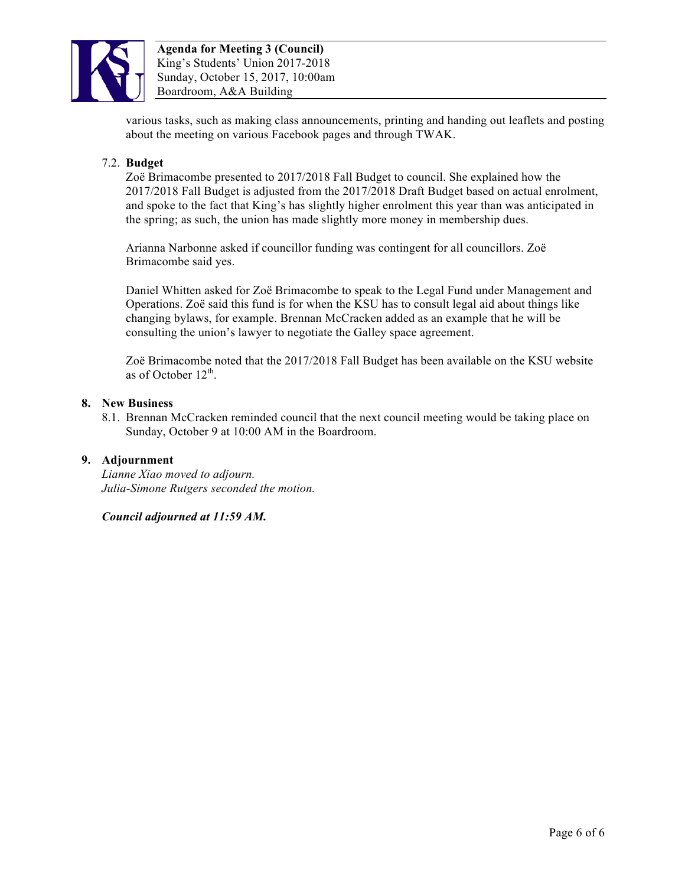

various tasks, such as making class announcements, printing and handing out leaflets and posting about the meeting on various Facebook pages and through TWAK.

### 7.2. **Budget**

Zoë Brimacombe presented to 2017/2018 Fall Budget to council. She explained how the 2017/2018 Fall Budget is adjusted from the 2017/2018 Draft Budget based on actual enrolment, and spoke to the fact that King's has slightly higher enrolment this year than was anticipated in the spring; as such, the union has made slightly more money in membership dues.

Arianna Narbonne asked if councillor funding was contingent for all councillors. Zoë Brimacombe said yes.

Daniel Whitten asked for Zoë Brimacombe to speak to the Legal Fund under Management and Operations. Zoë said this fund is for when the KSU has to consult legal aid about things like changing bylaws, for example. Brennan McCracken added as an example that he will be consulting the union's lawyer to negotiate the Galley space agreement.

Zoë Brimacombe noted that the 2017/2018 Fall Budget has been available on the KSU website as of October  $12<sup>th</sup>$ .

#### **8. New Business**

8.1. Brennan McCracken reminded council that the next council meeting would be taking place on Sunday, October 9 at 10:00 AM in the Boardroom.

### **9. Adjournment**

*Lianne Xiao moved to adjourn. Julia-Simone Rutgers seconded the motion.*

*Council adjourned at 11:59 AM.*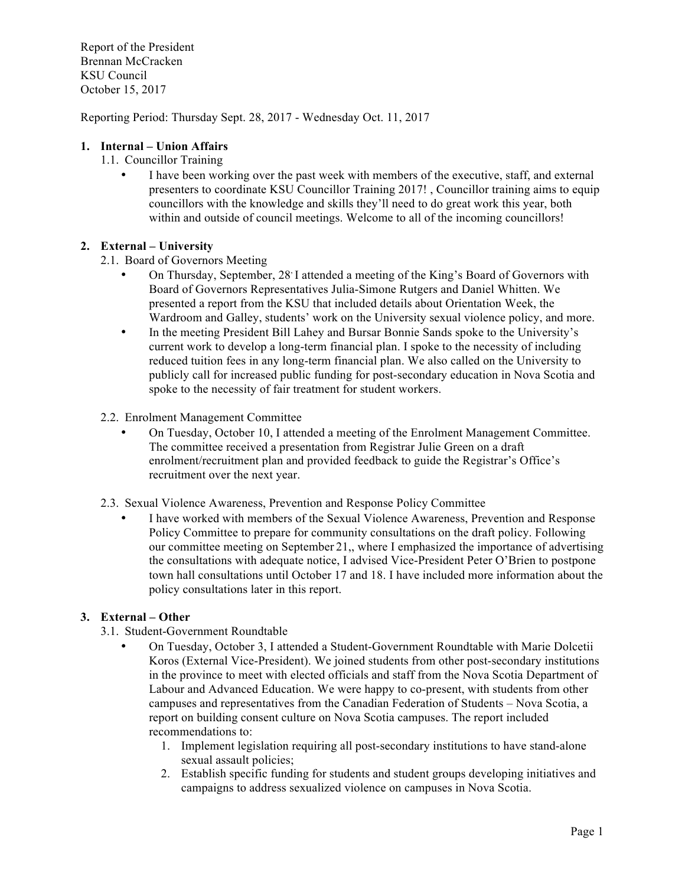Report of the President Brennan McCracken KSU Council October 15, 2017

Reporting Period: Thursday Sept. 28, 2017 - Wednesday Oct. 11, 2017

### **1. Internal – Union Affairs**

- 1.1. Councillor Training
	- I have been working over the past week with members of the executive, staff, and external presenters to coordinate KSU Councillor Training 2017! , Councillor training aims to equip councillors with the knowledge and skills they'll need to do great work this year, both within and outside of council meetings. Welcome to all of the incoming councillors!

### **2. External – University**

- 2.1. Board of Governors Meeting
	- On Thursday, September, 28<sup>,</sup> I attended a meeting of the King's Board of Governors with Board of Governors Representatives Julia-Simone Rutgers and Daniel Whitten. We presented a report from the KSU that included details about Orientation Week, the Wardroom and Galley, students' work on the University sexual violence policy, and more.
	- In the meeting President Bill Lahey and Bursar Bonnie Sands spoke to the University's current work to develop a long-term financial plan. I spoke to the necessity of including reduced tuition fees in any long-term financial plan. We also called on the University to publicly call for increased public funding for post-secondary education in Nova Scotia and spoke to the necessity of fair treatment for student workers.
- 2.2. Enrolment Management Committee
	- On Tuesday, October 10, I attended a meeting of the Enrolment Management Committee. The committee received a presentation from Registrar Julie Green on a draft enrolment/recruitment plan and provided feedback to guide the Registrar's Office's recruitment over the next year.
- 2.3. Sexual Violence Awareness, Prevention and Response Policy Committee
	- I have worked with members of the Sexual Violence Awareness, Prevention and Response Policy Committee to prepare for community consultations on the draft policy. Following our committee meeting on September 21,, where I emphasized the importance of advertising the consultations with adequate notice, I advised Vice-President Peter O'Brien to postpone town hall consultations until October 17 and 18. I have included more information about the policy consultations later in this report.

### **3. External – Other**

- 3.1. Student-Government Roundtable
	- On Tuesday, October 3, I attended a Student-Government Roundtable with Marie Dolcetii Koros (External Vice-President). We joined students from other post-secondary institutions in the province to meet with elected officials and staff from the Nova Scotia Department of Labour and Advanced Education. We were happy to co-present, with students from other campuses and representatives from the Canadian Federation of Students – Nova Scotia, a report on building consent culture on Nova Scotia campuses. The report included recommendations to:
		- 1. Implement legislation requiring all post-secondary institutions to have stand-alone sexual assault policies;
		- 2. Establish specific funding for students and student groups developing initiatives and campaigns to address sexualized violence on campuses in Nova Scotia.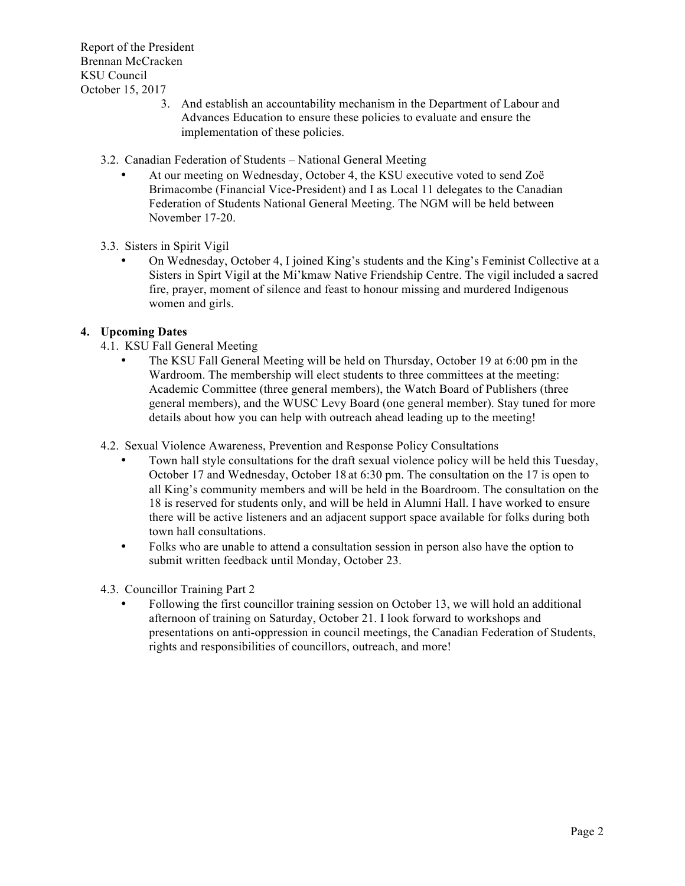Report of the President Brennan McCracken KSU Council October 15, 2017

- 3. And establish an accountability mechanism in the Department of Labour and Advances Education to ensure these policies to evaluate and ensure the implementation of these policies.
- 3.2. Canadian Federation of Students National General Meeting
	- At our meeting on Wednesday, October 4, the KSU executive voted to send Zoë Brimacombe (Financial Vice-President) and I as Local 11 delegates to the Canadian Federation of Students National General Meeting. The NGM will be held between November 17-20.
- 3.3. Sisters in Spirit Vigil
	- On Wednesday, October 4, I joined King's students and the King's Feminist Collective at a Sisters in Spirt Vigil at the Mi'kmaw Native Friendship Centre. The vigil included a sacred fire, prayer, moment of silence and feast to honour missing and murdered Indigenous women and girls.

### **4. Upcoming Dates**

- 4.1. KSU Fall General Meeting
	- The KSU Fall General Meeting will be held on Thursday, October 19 at 6:00 pm in the Wardroom. The membership will elect students to three committees at the meeting: Academic Committee (three general members), the Watch Board of Publishers (three general members), and the WUSC Levy Board (one general member). Stay tuned for more details about how you can help with outreach ahead leading up to the meeting!
- 4.2. Sexual Violence Awareness, Prevention and Response Policy Consultations
	- Town hall style consultations for the draft sexual violence policy will be held this Tuesday, October 17 and Wednesday, October 18 at 6:30 pm. The consultation on the 17 is open to all King's community members and will be held in the Boardroom. The consultation on the 18 is reserved for students only, and will be held in Alumni Hall. I have worked to ensure there will be active listeners and an adjacent support space available for folks during both town hall consultations.
	- Folks who are unable to attend a consultation session in person also have the option to submit written feedback until Monday, October 23.
- 4.3. Councillor Training Part 2
	- Following the first councillor training session on October 13, we will hold an additional afternoon of training on Saturday, October 21. I look forward to workshops and presentations on anti-oppression in council meetings, the Canadian Federation of Students, rights and responsibilities of councillors, outreach, and more!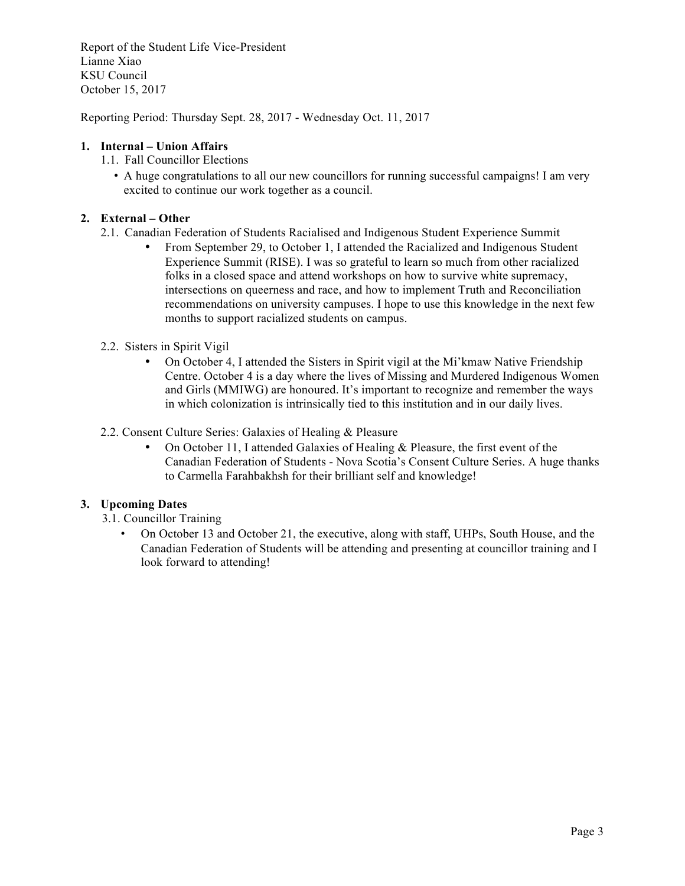Report of the Student Life Vice-President Lianne Xiao KSU Council October 15, 2017

Reporting Period: Thursday Sept. 28, 2017 - Wednesday Oct. 11, 2017

### **1. Internal – Union Affairs**

- 1.1. Fall Councillor Elections
	- A huge congratulations to all our new councillors for running successful campaigns! I am very excited to continue our work together as a council.

## **2. External – Other**

- 2.1. Canadian Federation of Students Racialised and Indigenous Student Experience Summit
	- From September 29, to October 1, I attended the Racialized and Indigenous Student Experience Summit (RISE). I was so grateful to learn so much from other racialized folks in a closed space and attend workshops on how to survive white supremacy, intersections on queerness and race, and how to implement Truth and Reconciliation recommendations on university campuses. I hope to use this knowledge in the next few months to support racialized students on campus.

### 2.2. Sisters in Spirit Vigil

- On October 4, I attended the Sisters in Spirit vigil at the Mi'kmaw Native Friendship Centre. October 4 is a day where the lives of Missing and Murdered Indigenous Women and Girls (MMIWG) are honoured. It's important to recognize and remember the ways in which colonization is intrinsically tied to this institution and in our daily lives.
- 2.2. Consent Culture Series: Galaxies of Healing & Pleasure
	- On October 11, I attended Galaxies of Healing & Pleasure, the first event of the Canadian Federation of Students - Nova Scotia's Consent Culture Series. A huge thanks to Carmella Farahbakhsh for their brilliant self and knowledge!

### **3. Upcoming Dates**

- 3.1. Councillor Training
	- On October 13 and October 21, the executive, along with staff, UHPs, South House, and the Canadian Federation of Students will be attending and presenting at councillor training and I look forward to attending!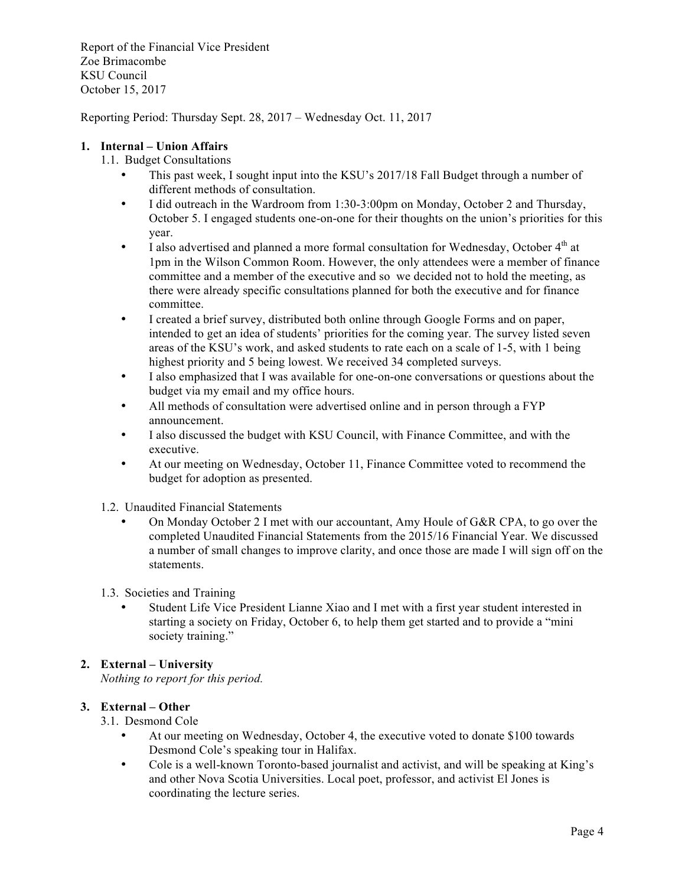Report of the Financial Vice President Zoe Brimacombe KSU Council October 15, 2017

Reporting Period: Thursday Sept. 28, 2017 – Wednesday Oct. 11, 2017

### **1. Internal – Union Affairs**

- 1.1. Budget Consultations
	- This past week, I sought input into the KSU's 2017/18 Fall Budget through a number of different methods of consultation.
	- I did outreach in the Wardroom from 1:30-3:00pm on Monday, October 2 and Thursday, October 5. I engaged students one-on-one for their thoughts on the union's priorities for this year.
	- I also advertised and planned a more formal consultation for Wednesday, October  $4<sup>th</sup>$  at 1pm in the Wilson Common Room. However, the only attendees were a member of finance committee and a member of the executive and so we decided not to hold the meeting, as there were already specific consultations planned for both the executive and for finance committee.
	- I created a brief survey, distributed both online through Google Forms and on paper, intended to get an idea of students' priorities for the coming year. The survey listed seven areas of the KSU's work, and asked students to rate each on a scale of 1-5, with 1 being highest priority and 5 being lowest. We received 34 completed surveys.
	- I also emphasized that I was available for one-on-one conversations or questions about the budget via my email and my office hours.
	- All methods of consultation were advertised online and in person through a FYP announcement.
	- I also discussed the budget with KSU Council, with Finance Committee, and with the executive.
	- At our meeting on Wednesday, October 11, Finance Committee voted to recommend the budget for adoption as presented.
- 1.2. Unaudited Financial Statements
	- On Monday October 2 I met with our accountant, Amy Houle of G&R CPA, to go over the completed Unaudited Financial Statements from the 2015/16 Financial Year. We discussed a number of small changes to improve clarity, and once those are made I will sign off on the statements.
- 1.3. Societies and Training
	- Student Life Vice President Lianne Xiao and I met with a first year student interested in starting a society on Friday, October 6, to help them get started and to provide a "mini society training."

## **2. External – University**

*Nothing to report for this period.*

### **3. External – Other**

- 3.1. Desmond Cole
	- At our meeting on Wednesday, October 4, the executive voted to donate \$100 towards Desmond Cole's speaking tour in Halifax.
	- Cole is a well-known Toronto-based journalist and activist, and will be speaking at King's and other Nova Scotia Universities. Local poet, professor, and activist El Jones is coordinating the lecture series.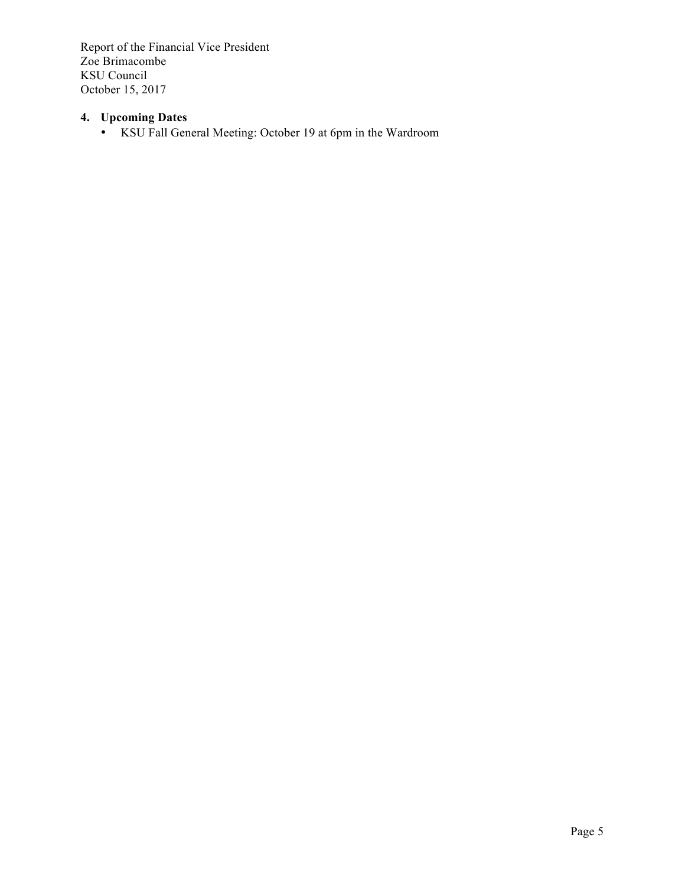Report of the Financial Vice President Zoe Brimacombe KSU Council October 15, 2017

# **4. Upcoming Dates**

• KSU Fall General Meeting: October 19 at 6pm in the Wardroom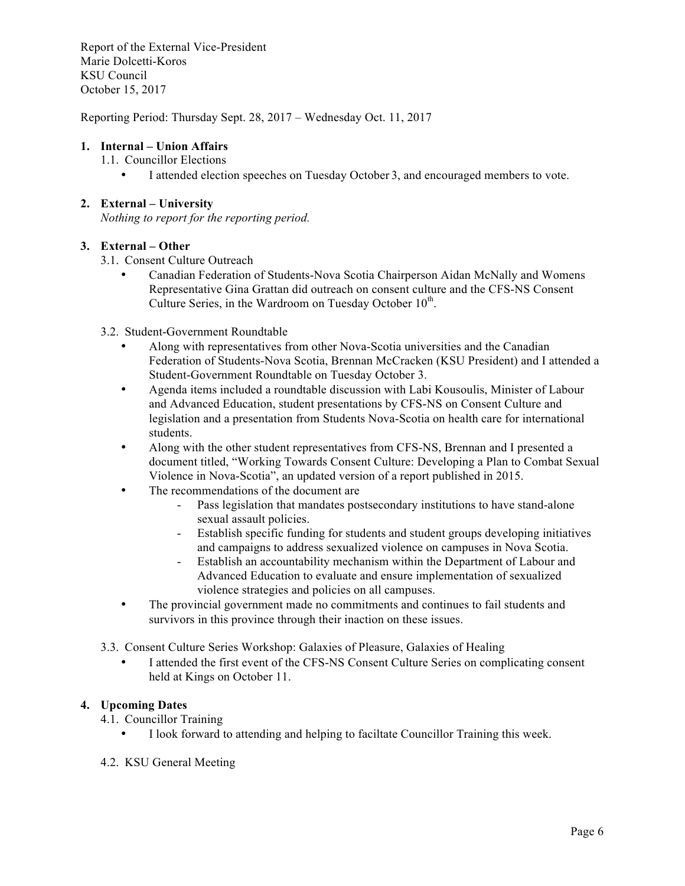Report of the External Vice-President Marie Dolcetti-Koros KSU Council October 15, 2017

Reporting Period: Thursday Sept. 28, 2017 – Wednesday Oct. 11, 2017

### **1. Internal – Union Affairs**

- 1.1. Councillor Elections
	- I attended election speeches on Tuesday October 3, and encouraged members to vote.

### **2. External – University**

*Nothing to report for the reporting period.*

### **3. External – Other**

- 3.1. Consent Culture Outreach
	- Canadian Federation of Students-Nova Scotia Chairperson Aidan McNally and Womens Representative Gina Grattan did outreach on consent culture and the CFS-NS Consent Culture Series, in the Wardroom on Tuesday October  $10<sup>th</sup>$ .
- 3.2. Student-Government Roundtable
	- Along with representatives from other Nova-Scotia universities and the Canadian Federation of Students-Nova Scotia, Brennan McCracken (KSU President) and I attended a Student-Government Roundtable on Tuesday October 3.
	- Agenda items included a roundtable discussion with Labi Kousoulis, Minister of Labour and Advanced Education, student presentations by CFS-NS on Consent Culture and legislation and a presentation from Students Nova-Scotia on health care for international students.
	- Along with the other student representatives from CFS-NS, Brennan and I presented a document titled, "Working Towards Consent Culture: Developing a Plan to Combat Sexual Violence in Nova-Scotia", an updated version of a report published in 2015.
	- The recommendations of the document are
		- Pass legislation that mandates postsecondary institutions to have stand-alone sexual assault policies.
		- Establish specific funding for students and student groups developing initiatives and campaigns to address sexualized violence on campuses in Nova Scotia.
		- Establish an accountability mechanism within the Department of Labour and Advanced Education to evaluate and ensure implementation of sexualized violence strategies and policies on all campuses.
	- The provincial government made no commitments and continues to fail students and survivors in this province through their inaction on these issues.
- 3.3. Consent Culture Series Workshop: Galaxies of Pleasure, Galaxies of Healing
	- I attended the first event of the CFS-NS Consent Culture Series on complicating consent held at Kings on October 11.

## **4. Upcoming Dates**

- 4.1. Councillor Training
	- I look forward to attending and helping to faciltate Councillor Training this week.
- 4.2. KSU General Meeting